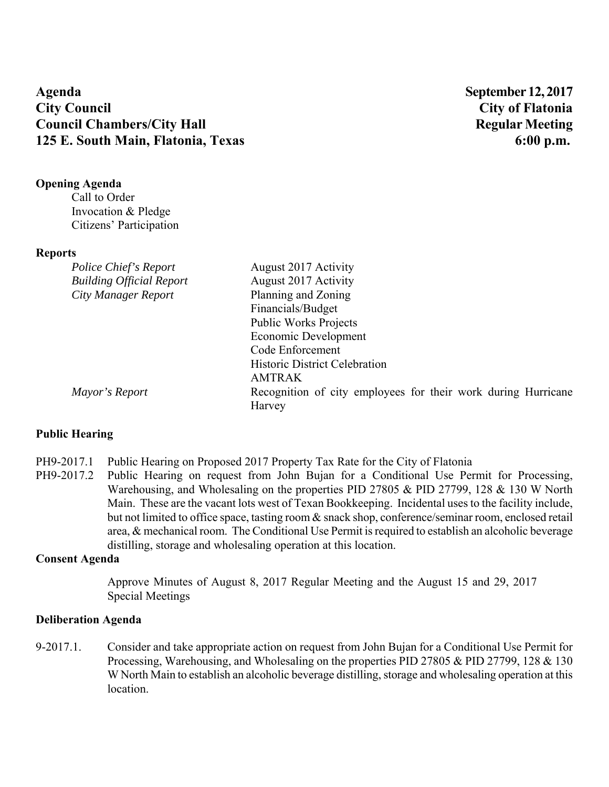# **Agenda September 12, 2017 City Council City of Flatonia Council Chambers/City Hall Regular Meeting 125 E. South Main, Flatonia, Texas 6:00 p.m.**

## **Opening Agenda**

Call to Order Invocation & Pledge Citizens' Participation

#### **Reports**

| Police Chief's Report           | August 2017 Activity                                          |
|---------------------------------|---------------------------------------------------------------|
| <b>Building Official Report</b> | August 2017 Activity                                          |
| City Manager Report             | Planning and Zoning                                           |
|                                 | Financials/Budget                                             |
|                                 | <b>Public Works Projects</b>                                  |
|                                 | Economic Development                                          |
|                                 | Code Enforcement                                              |
|                                 | <b>Historic District Celebration</b>                          |
|                                 | <b>AMTRAK</b>                                                 |
| Mayor's Report                  | Recognition of city employees for their work during Hurricane |
|                                 | Harvey                                                        |

# **Public Hearing**

PH9-2017.1 Public Hearing on Proposed 2017 Property Tax Rate for the City of Flatonia

PH9-2017.2 Public Hearing on request from John Bujan for a Conditional Use Permit for Processing, Warehousing, and Wholesaling on the properties PID 27805 & PID 27799, 128 & 130 W North Main. These are the vacant lots west of Texan Bookkeeping. Incidental uses to the facility include, but not limited to office space, tasting room & snack shop, conference/seminar room, enclosed retail area, & mechanical room. The Conditional Use Permit is required to establish an alcoholic beverage distilling, storage and wholesaling operation at this location.

# **Consent Agenda**

Approve Minutes of August 8, 2017 Regular Meeting and the August 15 and 29, 2017 Special Meetings

## **Deliberation Agenda**

9-2017.1. Consider and take appropriate action on request from John Bujan for a Conditional Use Permit for Processing, Warehousing, and Wholesaling on the properties PID 27805 & PID 27799, 128 & 130 W North Main to establish an alcoholic beverage distilling, storage and wholesaling operation at this location.